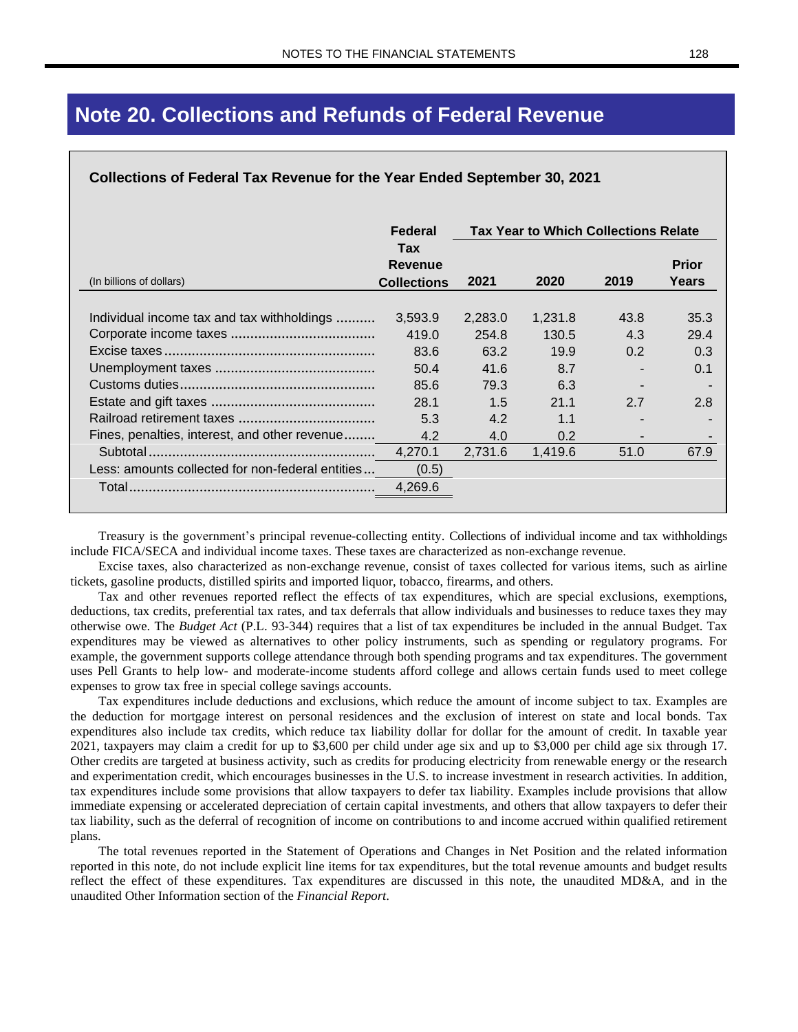# **Note 20. Collections and Refunds of Federal Revenue**

#### **Collections of Federal Tax Revenue for the Year Ended September 30, 2021**

|                                                  | Federal                              | <b>Tax Year to Which Collections Relate</b> |         |      |                       |  |
|--------------------------------------------------|--------------------------------------|---------------------------------------------|---------|------|-----------------------|--|
| (In billions of dollars)                         | Tax<br>Revenue<br><b>Collections</b> | 2021                                        | 2020    | 2019 | <b>Prior</b><br>Years |  |
| Individual income tax and tax withholdings       | 3,593.9                              | 2,283.0                                     | 1,231.8 | 43.8 | 35.3                  |  |
|                                                  | 419.0                                | 254.8                                       | 130.5   | 4.3  | 29.4                  |  |
|                                                  | 83.6                                 | 63.2                                        | 19.9    | 0.2  | 0.3                   |  |
|                                                  | 50.4                                 | 41.6                                        | 8.7     |      | 0.1                   |  |
|                                                  | 85.6                                 | 79.3                                        | 6.3     |      |                       |  |
|                                                  | 28.1                                 | 1.5                                         | 21.1    | 2.7  | 2.8                   |  |
|                                                  | 5.3                                  | 4.2                                         | 1.1     |      |                       |  |
| Fines, penalties, interest, and other revenue    | 4.2                                  | 4.0                                         | 0.2     |      |                       |  |
|                                                  | 4,270.1                              | 2,731.6                                     | 1,419.6 | 51.0 | 67.9                  |  |
| Less: amounts collected for non-federal entities | (0.5)                                |                                             |         |      |                       |  |
|                                                  | 4,269.6                              |                                             |         |      |                       |  |

Treasury is the government's principal revenue-collecting entity. Collections of individual income and tax withholdings include FICA/SECA and individual income taxes. These taxes are characterized as non-exchange revenue.

Excise taxes, also characterized as non-exchange revenue, consist of taxes collected for various items, such as airline tickets, gasoline products, distilled spirits and imported liquor, tobacco, firearms, and others.

Tax and other revenues reported reflect the effects of tax expenditures, which are special exclusions, exemptions, deductions, tax credits, preferential tax rates, and tax deferrals that allow individuals and businesses to reduce taxes they may otherwise owe. The *Budget Act* (P.L. 93-344) requires that a list of tax expenditures be included in the annual Budget. Tax expenditures may be viewed as alternatives to other policy instruments, such as spending or regulatory programs. For example, the government supports college attendance through both spending programs and tax expenditures. The government uses Pell Grants to help low- and moderate-income students afford college and allows certain funds used to meet college expenses to grow tax free in special college savings accounts.

Tax expenditures include deductions and exclusions, which reduce the amount of income subject to tax. Examples are the deduction for mortgage interest on personal residences and the exclusion of interest on state and local bonds. Tax expenditures also include tax credits, which reduce tax liability dollar for dollar for the amount of credit. In taxable year 2021, taxpayers may claim a credit for up to \$3,600 per child under age six and up to \$3,000 per child age six through 17. Other credits are targeted at business activity, such as credits for producing electricity from renewable energy or the research and experimentation credit, which encourages businesses in the U.S. to increase investment in research activities. In addition, tax expenditures include some provisions that allow taxpayers to defer tax liability. Examples include provisions that allow immediate expensing or accelerated depreciation of certain capital investments, and others that allow taxpayers to defer their tax liability, such as the deferral of recognition of income on contributions to and income accrued within qualified retirement plans.

The total revenues reported in the Statement of Operations and Changes in Net Position and the related information reported in this note, do not include explicit line items for tax expenditures, but the total revenue amounts and budget results reflect the effect of these expenditures. Tax expenditures are discussed in this note, the unaudited MD&A, and in the unaudited Other Information section of the *Financial Report*.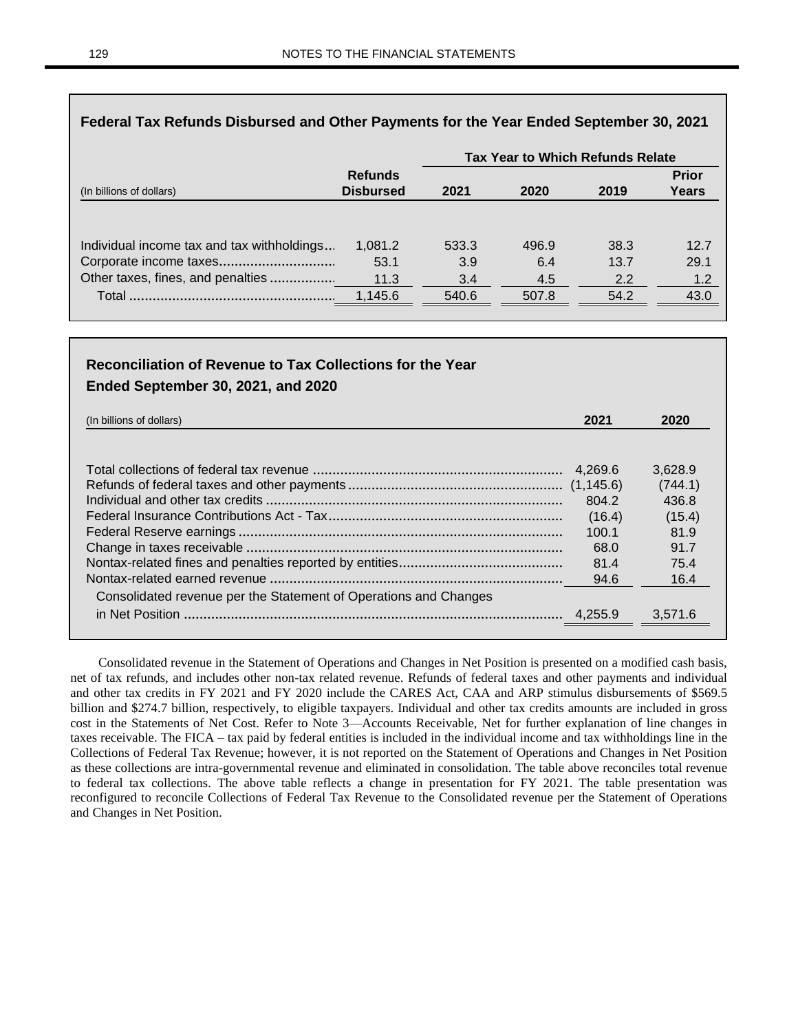|                                                                                                           |                         | <b>Tax Year to Which Refunds Relate</b> |                     |                     |                     |
|-----------------------------------------------------------------------------------------------------------|-------------------------|-----------------------------------------|---------------------|---------------------|---------------------|
|                                                                                                           | <b>Refunds</b>          |                                         |                     |                     | <b>Prior</b>        |
| (In billions of dollars)                                                                                  | <b>Disbursed</b>        | 2021                                    | 2020                | 2019                | <b>Years</b>        |
| Individual income tax and tax withholdings<br>Corporate income taxes<br>Other taxes, fines, and penalties | 1,081.2<br>53.1<br>11.3 | 533.3<br>3.9<br>3.4                     | 496.9<br>6.4<br>4.5 | 38.3<br>13.7<br>2.2 | 12.7<br>29.1<br>1.2 |
|                                                                                                           | 1,145.6                 | 540.6                                   | 507.8               | 54.2                | 43.0                |

#### **Federal Tax Refunds Disbursed and Other Payments for the Year Ended September 30, 2021**

### **Reconciliation of Revenue to Tax Collections for the Year Ended September 30, 2021, and 2020**

| (In billions of dollars)                                         | 2021       | 2020    |
|------------------------------------------------------------------|------------|---------|
|                                                                  |            |         |
|                                                                  | 4.269.6    | 3,628.9 |
|                                                                  |            | (744.1) |
|                                                                  | 804.2      | 436.8   |
|                                                                  | (16.4)     | (15.4)  |
|                                                                  | 100.1      | 81.9    |
|                                                                  | 68.0       | 91.7    |
|                                                                  | 81.4       | 75.4    |
|                                                                  | 94.6       | 16.4    |
| Consolidated revenue per the Statement of Operations and Changes |            |         |
|                                                                  | $-4.255.9$ | 3,571.6 |
|                                                                  |            |         |

Consolidated revenue in the Statement of Operations and Changes in Net Position is presented on a modified cash basis, net of tax refunds, and includes other non-tax related revenue. Refunds of federal taxes and other payments and individual and other tax credits in FY 2021 and FY 2020 include the CARES Act, CAA and ARP stimulus disbursements of \$569.5 billion and \$274.7 billion, respectively, to eligible taxpayers. Individual and other tax credits amounts are included in gross cost in the Statements of Net Cost. Refer to Note 3—Accounts Receivable, Net for further explanation of line changes in taxes receivable. The FICA – tax paid by federal entities is included in the individual income and tax withholdings line in the Collections of Federal Tax Revenue; however, it is not reported on the Statement of Operations and Changes in Net Position as these collections are intra-governmental revenue and eliminated in consolidation. The table above reconciles total revenue to federal tax collections. The above table reflects a change in presentation for FY 2021. The table presentation was reconfigured to reconcile Collections of Federal Tax Revenue to the Consolidated revenue per the Statement of Operations and Changes in Net Position.